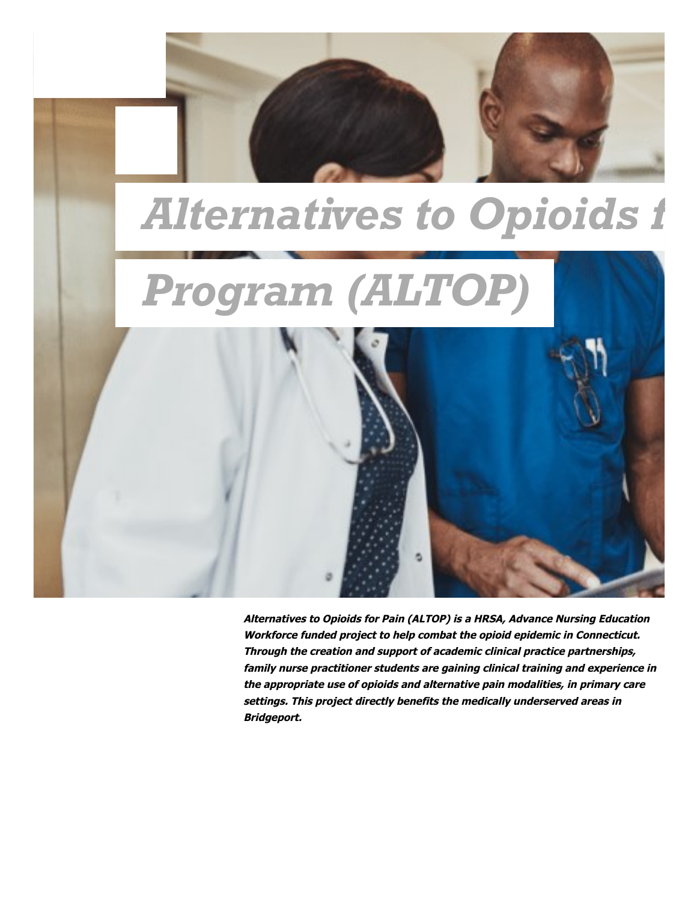

**Alternatives to Opioids for Pain (ALTOP) is a HRSA, Advance Nursing Education Workforce funded project to help combat the opioid epidemic in Connecticut. Through the creation and support of academic clinical practice partnerships, family nurse practitioner students are gaining clinical training and experience in the appropriate use of opioids and alternative pain modalities, in primary care settings. This project directly benefits the medically underserved areas in Bridgeport.**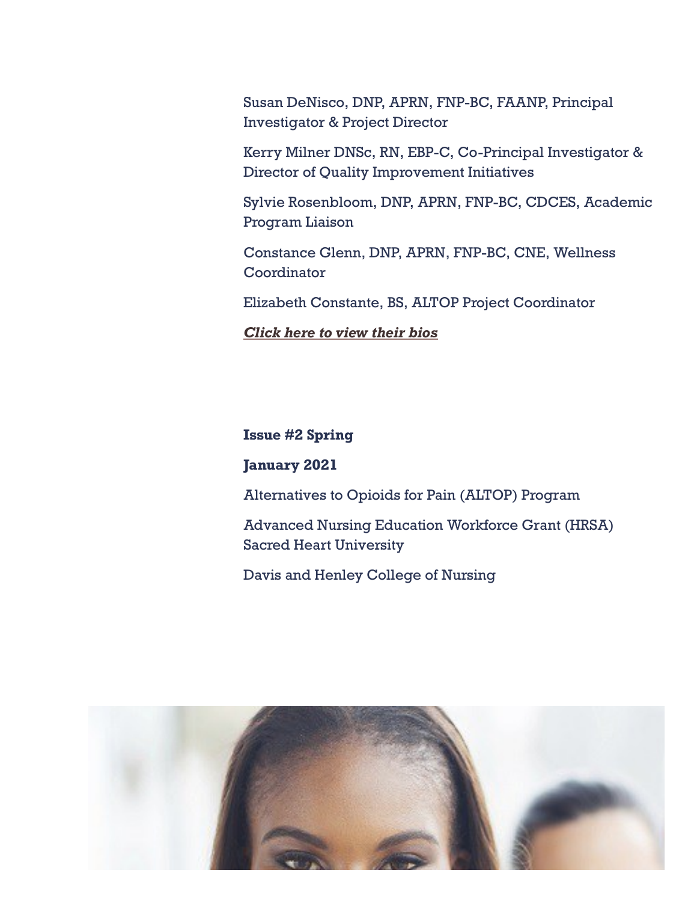Susan DeNisco, DNP, APRN, FNP-BC, FAANP, Principal Investigator & Project Director

Kerry Milner DNSc, RN, EBP-C, Co-Principal Investigator & Director of Quality Improvement Initiatives

Sylvie Rosenbloom, DNP, APRN, FNP-BC, CDCES, Academic Program Liaison

Constance Glenn, DNP, APRN, FNP-BC, CNE, Wellness **Coordinator** 

Elizabeth Constante, BS, ALTOP Project Coordinator

*[Click](https://www.sacredheart.edu/academics/colleges--schools/college-of-nursing/scholarships--grants/hrsa-anew-alternatives-to-opioids-for-pain-altop/meet-the-team/) here to view their bios*

# **Issue #2 Spring**

# **January 2021**

Alternatives to Opioids for Pain (ALTOP) Program

Advanced Nursing Education Workforce Grant (HRSA) Sacred Heart University

Davis and Henley College of Nursing

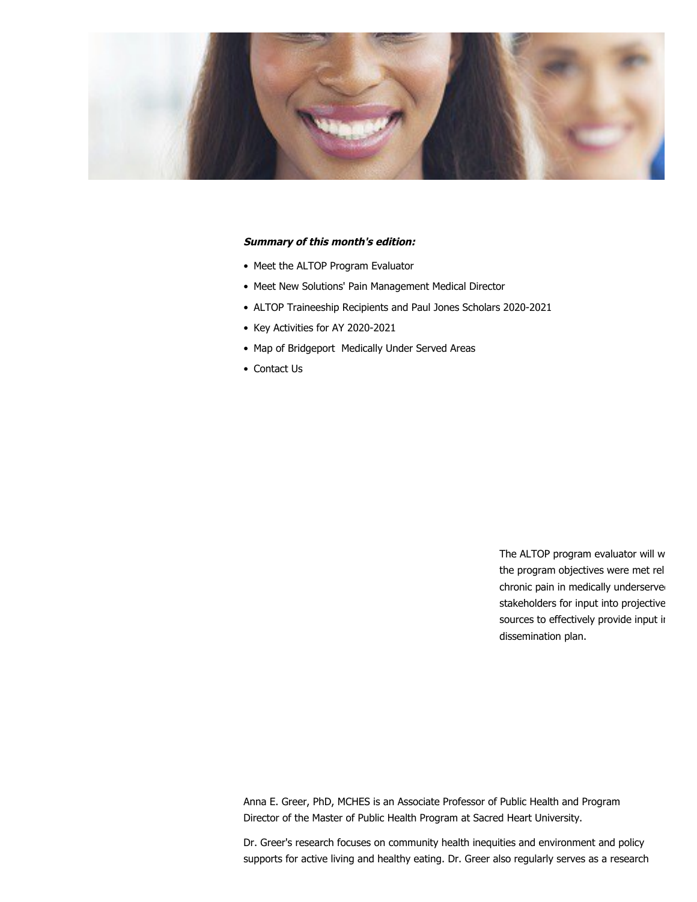

#### **Summary of this month's edition:**

- Meet the ALTOP Program Evaluator
- Meet New Solutions' Pain Management Medical Director
- ALTOP Traineeship Recipients and Paul Jones Scholars 2020-2021
- Key Activities for AY 2020-2021
- Map of Bridgeport Medically Under Served Areas
- Contact Us

The ALTOP program evaluator will w the program objectives were met rel chronic pain in medically underserved stakeholders for input into projective sources to effectively provide input in dissemination plan.

Anna E. Greer, PhD, MCHES is an Associate Professor of Public Health and Program Director of the Master of Public Health Program at Sacred Heart University.

Dr. Greer's research focuses on community health inequities and environment and policy supports for active living and healthy eating. Dr. Greer also regularly serves as a research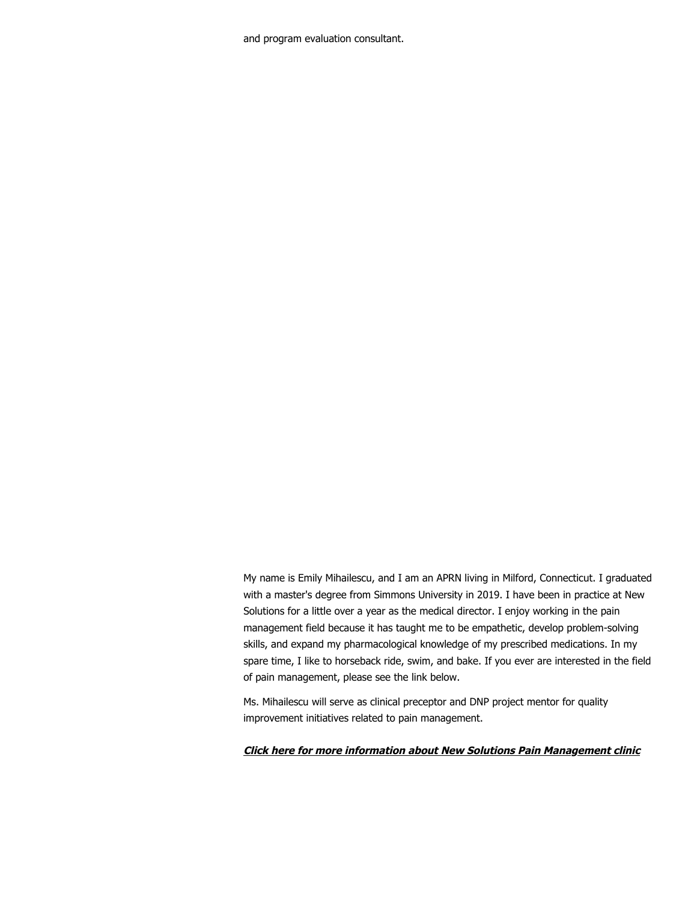and program evaluation consultant.

My name is Emily Mihailescu, and I am an APRN living in Milford, Connecticut. I graduated with a master's degree from Simmons University in 2019. I have been in practice at New Solutions for a little over a year as the medical director. I enjoy working in the pain management field because it has taught me to be empathetic, develop problem-solving skills, and expand my pharmacological knowledge of my prescribed medications. In my spare time, I like to horseback ride, swim, and bake. If you ever are interested in the field of pain management, please see the link below.

Ms. Mihailescu will serve as clinical preceptor and DNP project mentor for quality improvement initiatives related to pain management.

### **[Click here for more information about New Solutions Pain Management clinic](http://www.newsolutionspainmanagementclinic.com/index.html)**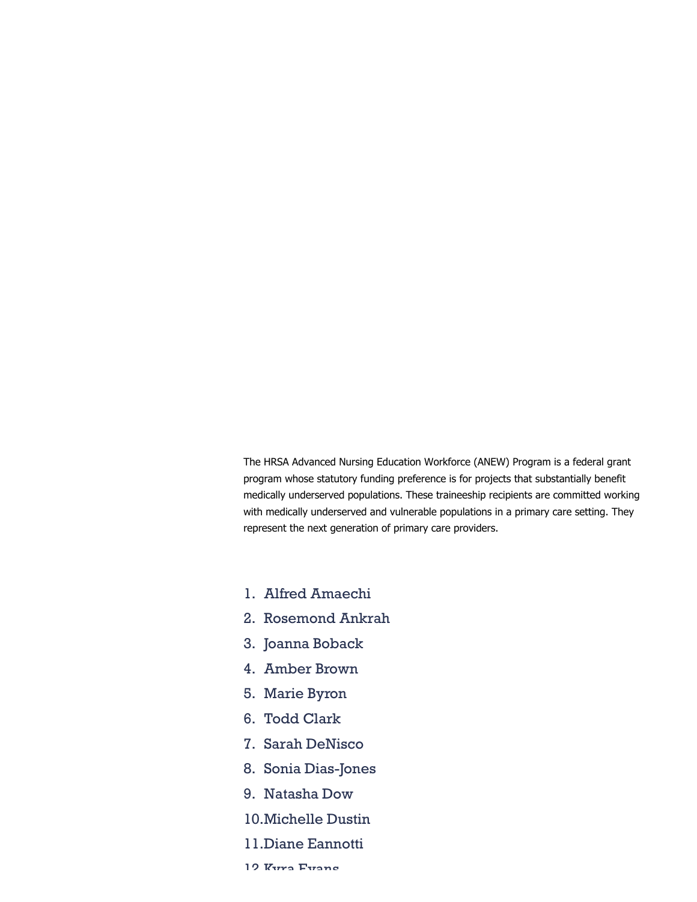The HRSA Advanced Nursing Education Workforce (ANEW) Program is a federal grant program whose statutory funding preference is for projects that substantially benefit medically underserved populations. These traineeship recipients are committed working with medically underserved and vulnerable populations in a primary care setting. They represent the next generation of primary care providers.

- Alfred Amaechi 1.
- 2. Rosemond Ankrah
- 3. Joanna Boback
- Amber Brown 4.
- Marie Byron 5.
- Todd Clark 6.
- 7. Sarah DeNisco
- 8. Sonia Dias-Jones
- 9. Natasha Dow
- Michelle Dustin 10.
- 11.Diane Eannotti
- 10 Kura Fuanc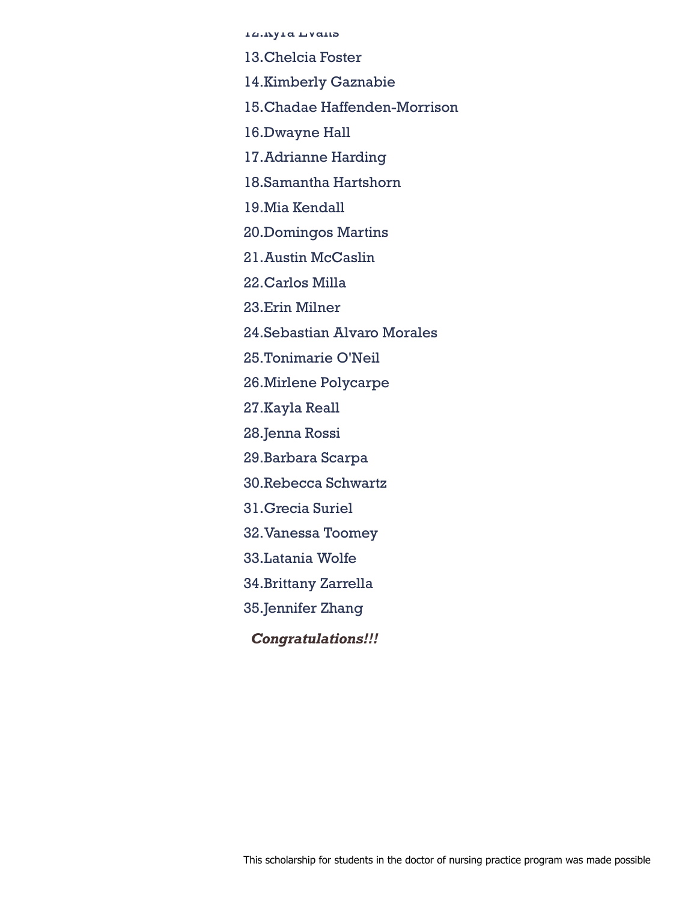ra.ny a ny ana

Chelcia Foster 13.

14.Kimberly Gaznabie

Chadae Haffenden-Morrison 15.

16.Dwayne Hall

Adrianne Harding 17.

18.Samantha Hartshorn

Mia Kendall 19.

20.Domingos Martins

21.Austin McCaslin

22.Carlos Milla

23.Erin Milner

24.Sebastian Alvaro Morales

25.Tonimarie O'Neil

Mirlene Polycarpe 26.

27.Kayla Reall

28.Jenna Rossi

29.Barbara Scarpa

30.Rebecca Schwartz

31.Grecia Suriel

32.Vanessa Toomey

33.Latania Wolfe

34.Brittany Zarrella

35.Jennifer Zhang

*Congratulations!!!*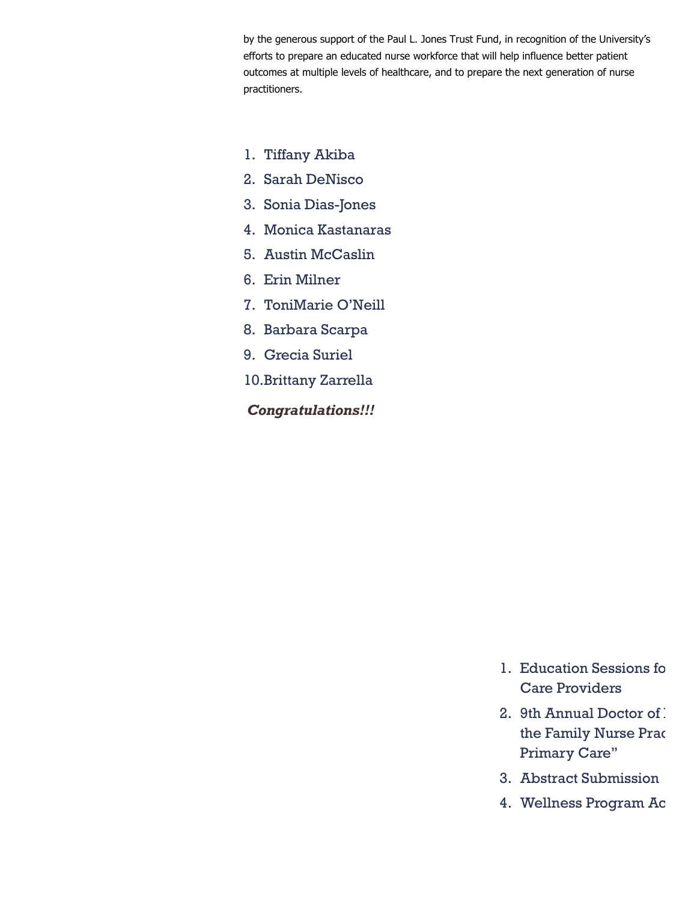by the generous support of the Paul L. Jones Trust Fund, in recognition of the University's efforts to prepare an educated nurse workforce that will help influence better patient outcomes at multiple levels of healthcare, and to prepare the next generation of nurse practitioners.

- 1. Tiffany Akiba
- 2. Sarah DeNisco
- Sonia Dias-Jones 3.
- Monica Kastanaras 4.
- 5. Austin McCaslin
- 6. Erin Milner
- 7. ToniMarie O'Neill
- Barbara Scarpa 8.
- 9. Grecia Suriel
- 10.Brittany Zarrella

*Congratulations!!!*

- Education Sessions fo 1. Care Providers
- 2. 9th Annual Doctor of . the Family Nurse Prac Primary Care"
- Abstract Submission 3.
- Wellness Program Ac 4.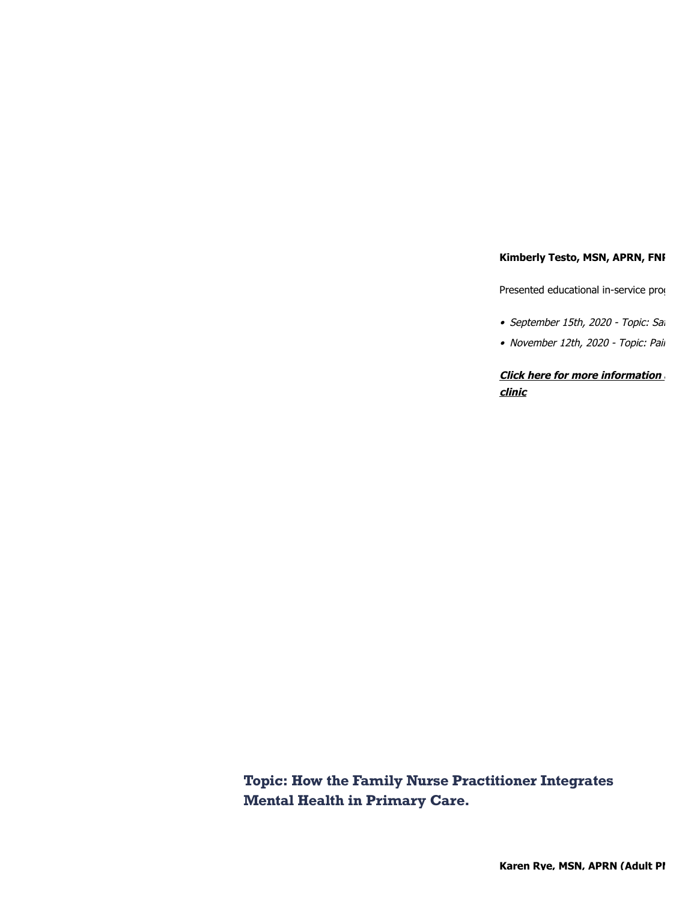### **Kimberly Testo, MSN, APRN, FNI**

Presented educational in-service prog

- September 15th, 2020 Topic: Sai
- November 12th, 2020 Topic: Pail

**[Click here for more information a](http://www.swchc.org/) clinic**

**Topic: How the Family Nurse Practitioner Integrates Mental Health in Primary Care.**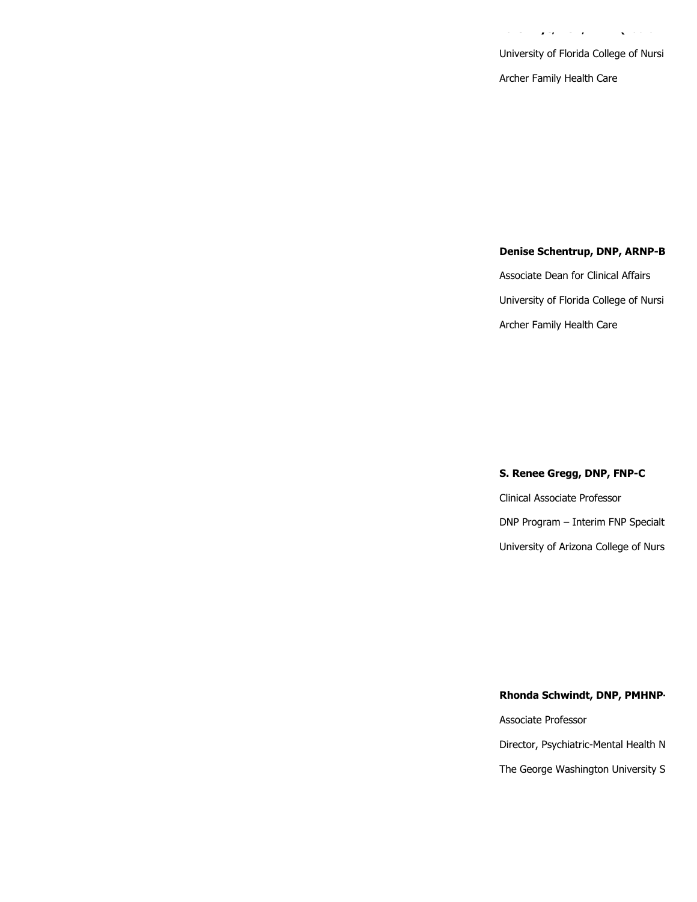University of Florida College of Nursi Archer Family Health Care

 $\sim$   $\sim$ 

 $\sim$ 

 $\mathbf{z}$  is  $\mathbf{z}$ 

 $\sqrt{2}$  ,  $\frac{1}{2}$  ,  $\frac{1}{2}$ 

# **Denise Schentrup, DNP, ARNP-B**

Associate Dean for Clinical Affairs University of Florida College of Nursi Archer Family Health Care

#### S. Renee Gregg, DNP, FNP-C

Clinical Associate Professor DNP Program - Interim FNP Specialt University of Arizona College of Nurs

### Rhonda Schwindt, DNP, PMHNP-

Associate Professor Director, Psychiatric-Mental Health N The George Washington University S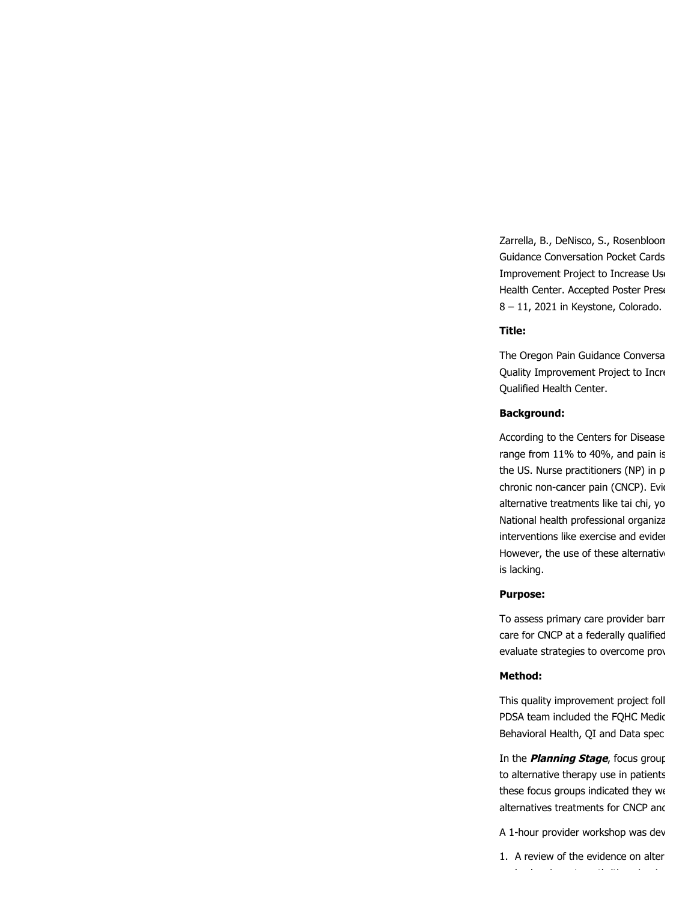Zarrella, B., DeNisco, S., Rosenbloom Guidance Conversation Pocket Cards Improvement Project to Increase Use Health Center. Accepted Poster Prese 8 – 11, 2021 in Keystone, Colorado.

#### **Title:**

The Oregon Pain Guidance Conversa Quality Improvement Project to Incre Qualified Health Center.

### **Background:**

According to the Centers for Disease range from 11% to 40%, and pain is the US. Nurse practitioners (NP) in p chronic non-cancer pain (CNCP). Evid alternative treatments like tai chi, yo National health professional organiza interventions like exercise and evider However, the use of these alternative is lacking.

### **Purpose:**

To assess primary care provider barr care for CNCP at a federally qualified evaluate strategies to overcome prov

### **Method:**

This quality improvement project foll PDSA team included the FQHC Medic Behavioral Health, QI and Data spec

In the **Planning Stage**, focus group to alternative therapy use in patients these focus groups indicated they we alternatives treatments for CNCP and

A 1-hour provider workshop was dev

1. A review of the evidence on alter b k i t the internal part of the internal part of the internal part of the internal part of the internal part<br>In the internal part of the internal part of the internal part of the internal part of the internal part of th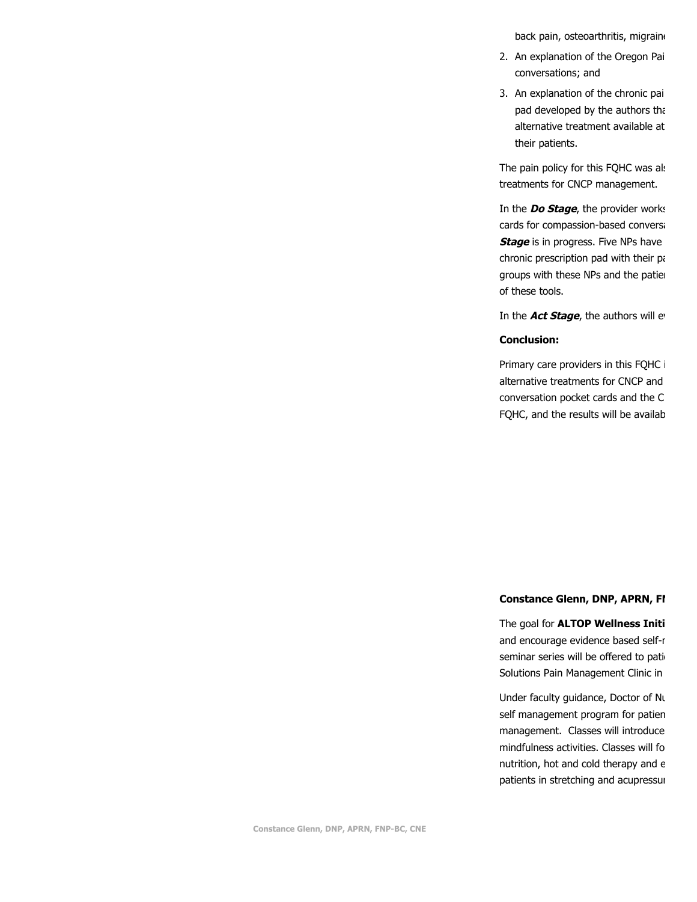back pain, osteoarthritis, migraine

- 2. An explanation of the Oregon Pai conversations; and
- 3. An explanation of the chronic pai pad developed by the authors tha alternative treatment available at their patients.

The pain policy for this FQHC was als treatments for CNCP management.

In the **Do Stage**, the provider works cards for compassion-based conversa **Stage** is in progress. Five NPs have chronic prescription pad with their pa groups with these NPs and the patien of these tools.

In the **Act Stage**, the authors will ev

#### **Conclusion:**

Primary care providers in this FQHC i alternative treatments for CNCP and conversation pocket cards and the C FQHC, and the results will be availab

#### **Constance Glenn, DNP, APRN, FN**

The goal for **ALTOP Wellness Initi** and encourage evidence based self-r seminar series will be offered to pati-Solutions Pain Management Clinic in

Under faculty guidance, Doctor of Nu self management program for patien management. Classes will introduce mindfulness activities. Classes will fo nutrition, hot and cold therapy and e patients in stretching and acupressur